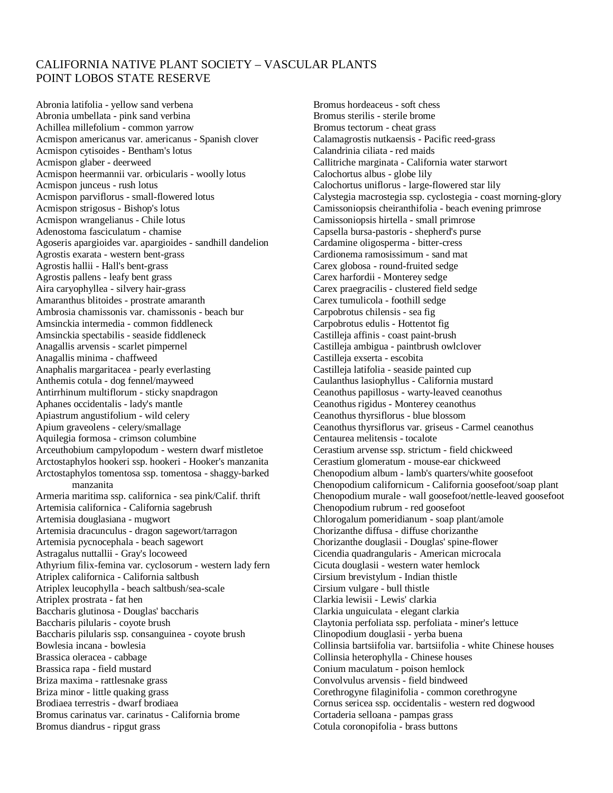## CALIFORNIA NATIVE PLANT SOCIETY – VASCULAR PLANTS POINT LOBOS STATE RESERVE

Abronia latifolia - yellow sand verbena Abronia umbellata - pink sand verbina Achillea millefolium - common yarrow Acmispon americanus var. americanus - Spanish clover Acmispon cytisoides - Bentham's lotus Acmispon glaber - deerweed Acmispon heermannii var. orbicularis - woolly lotus Acmispon junceus - rush lotus Acmispon parviflorus - small-flowered lotus Acmispon strigosus - Bishop's lotus Acmispon wrangelianus - Chile lotus Adenostoma fasciculatum - chamise Agoseris apargioides var. apargioides - sandhill dandelion Agrostis exarata - western bent-grass Agrostis hallii - Hall's bent-grass Agrostis pallens - leafy bent grass Aira caryophyllea - silvery hair-grass Amaranthus blitoides - prostrate amaranth Ambrosia chamissonis var. chamissonis - beach bur Amsinckia intermedia - common fiddleneck Amsinckia spectabilis - seaside fiddleneck Anagallis arvensis - scarlet pimpernel Anagallis minima - chaffweed Anaphalis margaritacea - pearly everlasting Anthemis cotula - dog fennel/mayweed Antirrhinum multiflorum - sticky snapdragon Aphanes occidentalis - lady's mantle Apiastrum angustifolium - wild celery Apium graveolens - celery/smallage Aquilegia formosa - crimson columbine Arceuthobium campylopodum - western dwarf mistletoe Arctostaphylos hookeri ssp. hookeri - Hooker's manzanita Arctostaphylos tomentosa ssp. tomentosa - shaggy-barked manzanita Armeria maritima ssp. californica - sea pink/Calif. thrift Artemisia californica - California sagebrush Artemisia douglasiana - mugwort Artemisia dracunculus - dragon sagewort/tarragon Artemisia pycnocephala - beach sagewort Astragalus nuttallii - Gray's locoweed Athyrium filix-femina var. cyclosorum - western lady fern Atriplex californica - California saltbush Atriplex leucophylla - beach saltbush/sea-scale Atriplex prostrata - fat hen Baccharis glutinosa - Douglas' baccharis Baccharis pilularis - coyote brush Baccharis pilularis ssp. consanguinea - coyote brush Bowlesia incana - bowlesia Brassica oleracea - cabbage Brassica rapa - field mustard Briza maxima - rattlesnake grass Briza minor - little quaking grass Brodiaea terrestris - dwarf brodiaea Bromus carinatus var. carinatus - California brome Bromus diandrus - ripgut grass

Bromus hordeaceus - soft chess Bromus sterilis - sterile brome Bromus tectorum - cheat grass Calamagrostis nutkaensis - Pacific reed-grass Calandrinia ciliata - red maids Callitriche marginata - California water starwort Calochortus albus - globe lily Calochortus uniflorus - large-flowered star lily Calystegia macrostegia ssp. cyclostegia - coast morning-glory Camissoniopsis cheiranthifolia - beach evening primrose Camissoniopsis hirtella - small primrose Capsella bursa-pastoris - shepherd's purse Cardamine oligosperma - bitter-cress Cardionema ramosissimum - sand mat Carex globosa - round-fruited sedge Carex harfordii - Monterey sedge Carex praegracilis - clustered field sedge Carex tumulicola - foothill sedge Carpobrotus chilensis - sea fig Carpobrotus edulis - Hottentot fig Castilleja affinis - coast paint-brush Castilleja ambigua - paintbrush owlclover Castilleja exserta - escobita Castilleja latifolia - seaside painted cup Caulanthus lasiophyllus - California mustard Ceanothus papillosus - warty-leaved ceanothus Ceanothus rigidus - Monterey ceanothus Ceanothus thyrsiflorus - blue blossom Ceanothus thyrsiflorus var. griseus - Carmel ceanothus Centaurea melitensis - tocalote Cerastium arvense ssp. strictum - field chickweed Cerastium glomeratum - mouse-ear chickweed Chenopodium album - lamb's quarters/white goosefoot Chenopodium californicum - California goosefoot/soap plant Chenopodium murale - wall goosefoot/nettle-leaved goosefoot Chenopodium rubrum - red goosefoot Chlorogalum pomeridianum - soap plant/amole Chorizanthe diffusa - diffuse chorizanthe Chorizanthe douglasii - Douglas' spine-flower Cicendia quadrangularis - American microcala Cicuta douglasii - western water hemlock Cirsium brevistylum - Indian thistle Cirsium vulgare - bull thistle Clarkia lewisii - Lewis' clarkia Clarkia unguiculata - elegant clarkia Claytonia perfoliata ssp. perfoliata - miner's lettuce Clinopodium douglasii - yerba buena Collinsia bartsiifolia var. bartsiifolia - white Chinese houses Collinsia heterophylla - Chinese houses Conium maculatum - poison hemlock Convolvulus arvensis - field bindweed Corethrogyne filaginifolia - common corethrogyne Cornus sericea ssp. occidentalis - western red dogwood Cortaderia selloana - pampas grass Cotula coronopifolia - brass buttons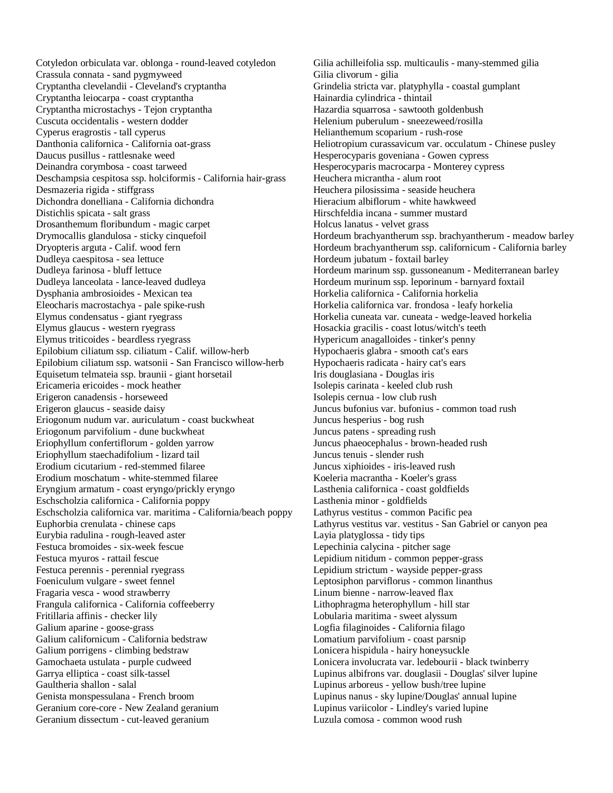Cotyledon orbiculata var. oblonga - round-leaved cotyledon Crassula connata - sand pygmyweed Cryptantha clevelandii - Cleveland's cryptantha Cryptantha leiocarpa - coast cryptantha Cryptantha microstachys - Tejon cryptantha Cuscuta occidentalis - western dodder Cyperus eragrostis - tall cyperus Danthonia californica - California oat-grass Daucus pusillus - rattlesnake weed Deinandra corymbosa - coast tarweed Deschampsia cespitosa ssp. holciformis - California hair-grass Desmazeria rigida - stiffgrass Dichondra donelliana - California dichondra Distichlis spicata - salt grass Drosanthemum floribundum - magic carpet Drymocallis glandulosa - sticky cinquefoil Dryopteris arguta - Calif. wood fern Dudleya caespitosa - sea lettuce Dudleya farinosa - bluff lettuce Dudleya lanceolata - lance-leaved dudleya Dysphania ambrosioides - Mexican tea Eleocharis macrostachya - pale spike-rush Elymus condensatus - giant ryegrass Elymus glaucus - western ryegrass Elymus triticoides - beardless ryegrass Epilobium ciliatum ssp. ciliatum - Calif. willow-herb Epilobium ciliatum ssp. watsonii - San Francisco willow-herb Equisetum telmateia ssp. braunii - giant horsetail Ericameria ericoides - mock heather Erigeron canadensis - horseweed Erigeron glaucus - seaside daisy Eriogonum nudum var. auriculatum - coast buckwheat Eriogonum parvifolium - dune buckwheat Eriophyllum confertiflorum - golden yarrow Eriophyllum staechadifolium - lizard tail Erodium cicutarium - red-stemmed filaree Erodium moschatum - white-stemmed filaree Eryngium armatum - coast eryngo/prickly eryngo Eschscholzia californica - California poppy Eschscholzia californica var. maritima - California/beach poppy Euphorbia crenulata - chinese caps Eurybia radulina - rough-leaved aster Festuca bromoides - six-week fescue Festuca myuros - rattail fescue Festuca perennis - perennial ryegrass Foeniculum vulgare - sweet fennel Fragaria vesca - wood strawberry Frangula californica - California coffeeberry Fritillaria affinis - checker lily Galium aparine - goose-grass Galium californicum - California bedstraw Galium porrigens - climbing bedstraw Gamochaeta ustulata - purple cudweed Garrya elliptica - coast silk-tassel Gaultheria shallon - salal Genista monspessulana - French broom Geranium core-core - New Zealand geranium Geranium dissectum - cut-leaved geranium

Gilia achilleifolia ssp. multicaulis - many-stemmed gilia Gilia clivorum - gilia Grindelia stricta var. platyphylla - coastal gumplant Hainardia cylindrica - thintail Hazardia squarrosa - sawtooth goldenbush Helenium puberulum - sneezeweed/rosilla Helianthemum scoparium - rush-rose Heliotropium curassavicum var. occulatum - Chinese pusley Hesperocyparis goveniana - Gowen cypress Hesperocyparis macrocarpa - Monterey cypress Heuchera micrantha - alum root Heuchera pilosissima - seaside heuchera Hieracium albiflorum - white hawkweed Hirschfeldia incana - summer mustard Holcus lanatus - velvet grass Hordeum brachyantherum ssp. brachyantherum - meadow barley Hordeum brachyantherum ssp. californicum - California barley Hordeum jubatum - foxtail barley Hordeum marinum ssp. gussoneanum - Mediterranean barley Hordeum murinum ssp. leporinum - barnyard foxtail Horkelia californica - California horkelia Horkelia californica var. frondosa - leafy horkelia Horkelia cuneata var. cuneata - wedge-leaved horkelia Hosackia gracilis - coast lotus/witch's teeth Hypericum anagalloides - tinker's penny Hypochaeris glabra - smooth cat's ears Hypochaeris radicata - hairy cat's ears Iris douglasiana - Douglas iris Isolepis carinata - keeled club rush Isolepis cernua - low club rush Juncus bufonius var. bufonius - common toad rush Juncus hesperius - bog rush Juncus patens - spreading rush Juncus phaeocephalus - brown-headed rush Juncus tenuis - slender rush Juncus xiphioides - iris-leaved rush Koeleria macrantha - Koeler's grass Lasthenia californica - coast goldfields Lasthenia minor - goldfields Lathyrus vestitus - common Pacific pea Lathyrus vestitus var. vestitus - San Gabriel or canyon pea Layia platyglossa - tidy tips Lepechinia calycina - pitcher sage Lepidium nitidum - common pepper-grass Lepidium strictum - wayside pepper-grass Leptosiphon parviflorus - common linanthus Linum bienne - narrow-leaved flax Lithophragma heterophyllum - hill star Lobularia maritima - sweet alyssum Logfia filaginoides - California filago Lomatium parvifolium - coast parsnip Lonicera hispidula - hairy honeysuckle Lonicera involucrata var. ledebourii - black twinberry Lupinus albifrons var. douglasii - Douglas' silver lupine Lupinus arboreus - yellow bush/tree lupine Lupinus nanus - sky lupine/Douglas' annual lupine Lupinus variicolor - Lindley's varied lupine Luzula comosa - common wood rush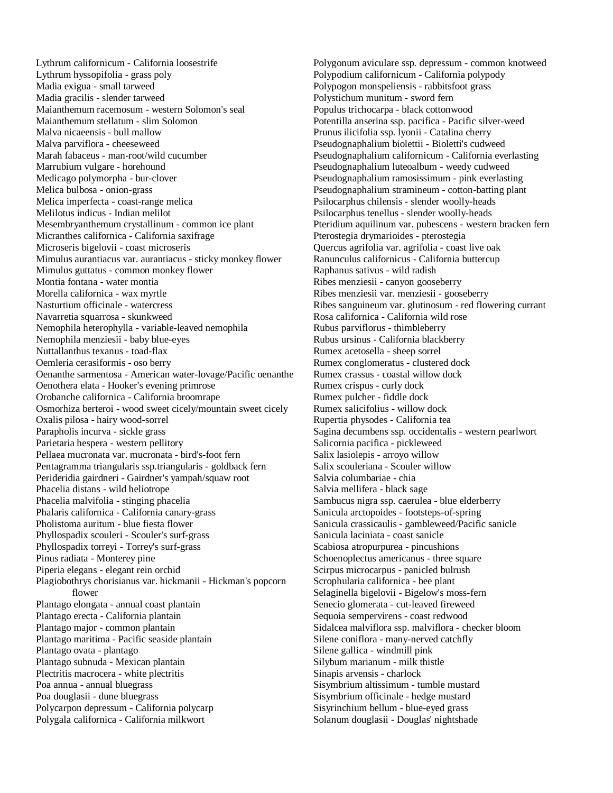Lythrum californicum - California loosestrife Lythrum hyssopifolia - grass poly Madia exigua - small tarweed Madia gracilis - slender tarweed Maianthemum racemosum - western Solomon's seal Maianthemum stellatum - slim Solomon Malva nicaeensis - bull mallow Malva parviflora - cheeseweed Marah fabaceus - man-root/wild cucumber Marrubium vulgare - horehound Medicago polymorpha - bur-clover Melica bulbosa - onion-grass Melica imperfecta - coast-range melica Melilotus indicus - Indian melilot Mesembryanthemum crystallinum - common ice plant Micranthes californica - California saxifrage Microseris bigelovii - coast microseris Mimulus aurantiacus var. aurantiacus - sticky monkey flower Mimulus guttatus - common monkey flower Montia fontana - water montia Morella californica - wax myrtle Nasturtium officinale - watercress Navarretia squarrosa - skunkweed Nemophila heterophylla - variable-leaved nemophila Nemophila menziesii - baby blue-eyes Nuttallanthus texanus - toad-flax Oemleria cerasiformis - oso berry Oenanthe sarmentosa - American water-lovage/Pacific oenanthe Oenothera elata - Hooker's evening primrose Orobanche californica - California broomrape Osmorhiza berteroi - wood sweet cicely/mountain sweet cicely Oxalis pilosa - hairy wood-sorrel Parapholis incurva - sickle grass Parietaria hespera - western pellitory Pellaea mucronata var. mucronata - bird's-foot fern Pentagramma triangularis ssp.triangularis - goldback fern Perideridia gairdneri - Gairdner's yampah/squaw root Phacelia distans - wild heliotrope Phacelia malvifolia - stinging phacelia Phalaris californica - California canary-grass Pholistoma auritum - blue fiesta flower Phyllospadix scouleri - Scouler's surf-grass Phyllospadix torreyi - Torrey's surf-grass Pinus radiata - Monterey pine Piperia elegans - elegant rein orchid Plagiobothrys chorisianus var. hickmanii - Hickman's popcorn flower Plantago elongata - annual coast plantain Plantago erecta - California plantain Plantago major - common plantain Plantago maritima - Pacific seaside plantain Plantago ovata - plantago Plantago subnuda - Mexican plantain Plectritis macrocera - white plectritis Poa annua - annual bluegrass Poa douglasii - dune bluegrass Polycarpon depressum - California polycarp Polygala californica - California milkwort

Polygonum aviculare ssp. depressum - common knotweed Polypodium californicum - California polypody Polypogon monspeliensis - rabbitsfoot grass Polystichum munitum - sword fern Populus trichocarpa - black cottonwood Potentilla anserina ssp. pacifica - Pacific silver-weed Prunus ilicifolia ssp. lyonii - Catalina cherry Pseudognaphalium biolettii - Bioletti's cudweed Pseudognaphalium californicum - California everlasting Pseudognaphalium luteoalbum - weedy cudweed Pseudognaphalium ramosissimum - pink everlasting Pseudognaphalium stramineum - cotton-batting plant Psilocarphus chilensis - slender woolly-heads Psilocarphus tenellus - slender woolly-heads Pteridium aquilinum var. pubescens - western bracken fern Pterostegia drymarioides - pterostegia Quercus agrifolia var. agrifolia - coast live oak Ranunculus californicus - California buttercup Raphanus sativus - wild radish Ribes menziesii - canyon gooseberry Ribes menziesii var. menziesii - gooseberry Ribes sanguineum var. glutinosum - red flowering currant Rosa californica - California wild rose Rubus parviflorus - thimbleberry Rubus ursinus - California blackberry Rumex acetosella - sheep sorrel Rumex conglomeratus - clustered dock Rumex crassus - coastal willow dock Rumex crispus - curly dock Rumex pulcher - fiddle dock Rumex salicifolius - willow dock Rupertia physodes - California tea Sagina decumbens ssp. occidentalis - western pearlwort Salicornia pacifica - pickleweed Salix lasiolepis - arroyo willow Salix scouleriana - Scouler willow Salvia columbariae - chia Salvia mellifera - black sage Sambucus nigra ssp. caerulea - blue elderberry Sanicula arctopoides - footsteps-of-spring Sanicula crassicaulis - gambleweed/Pacific sanicle Sanicula laciniata - coast sanicle Scabiosa atropurpurea - pincushions Schoenoplectus americanus - three square Scirpus microcarpus - panicled bulrush Scrophularia californica - bee plant Selaginella bigelovii - Bigelow's moss-fern Senecio glomerata - cut-leaved fireweed Sequoia sempervirens - coast redwood Sidalcea malviflora ssp. malviflora - checker bloom Silene coniflora - many-nerved catchfly Silene gallica - windmill pink Silybum marianum - milk thistle Sinapis arvensis - charlock Sisymbrium altissimum - tumble mustard Sisymbrium officinale - hedge mustard Sisyrinchium bellum - blue-eyed grass Solanum douglasii - Douglas' nightshade